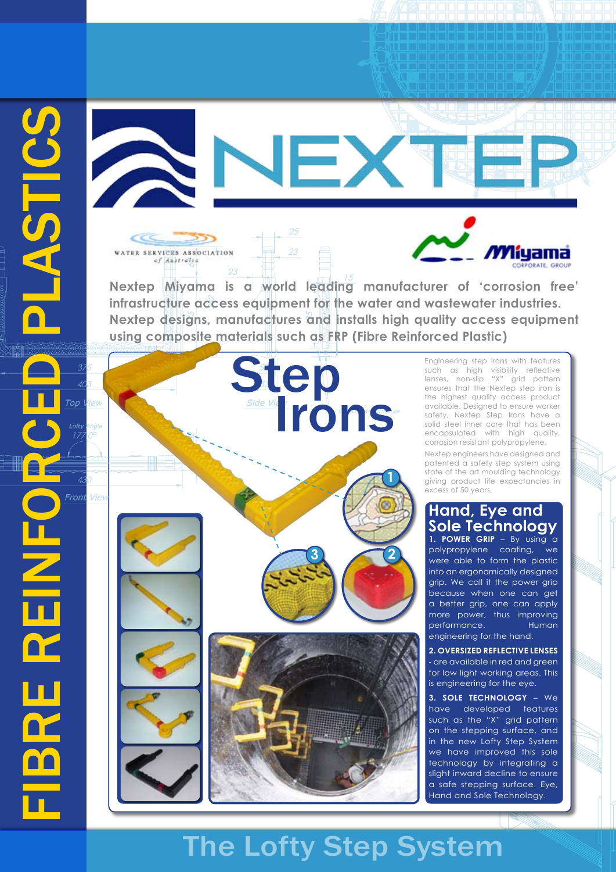lew



**Nextep Miyama is a world leading manufacturer of 'corrosion free' infrastructure access equipment for the water and wastewater industries. Nextep designs, manufactures and installs high quality access equipment using composite materials such as FRP (Fibre Reinforced Plastic)**



WATER SERVICES ASSOCIATION of Australia

> Engineering step irons with features such as high visibility reflective lenses, non-slip "X" grid pattern ensures that the Nextep step iron is the highest quality access product available. Designed to ensure worker safety, Nextep Step Irons have a solid steel inner core that has been encapsulated with high quality, corrosion resistant polypropylene.

*M*liyama

Nextep engineers have designed and patented a safety step system using state of the art moulding technology giving product life expectancies in excess of 50 years.

### **1. POWER GRIP** – By using a **Hand, Eye and Sole Technology**

polypropylene coating, we were able to form the plastic into an ergonomically designed grip. We call it the power grip because when one can get a better grip, one can apply more power, thus improving performance. Human engineering for the hand.

**2. OVERSIZED REFLECTIVE LENSES** - are available in red and green for low light working areas. This is engineering for the eye.

**3. SOLE TECHNOLOGY** – We have developed features such as the "X" grid pattern on the stepping surface, and in the new Lofty Step System we have improved this sole technology by integrating a slight inward decline to ensure a safe stepping surface. Eye, Hand and Sole Technology.

# The Lofty Step System